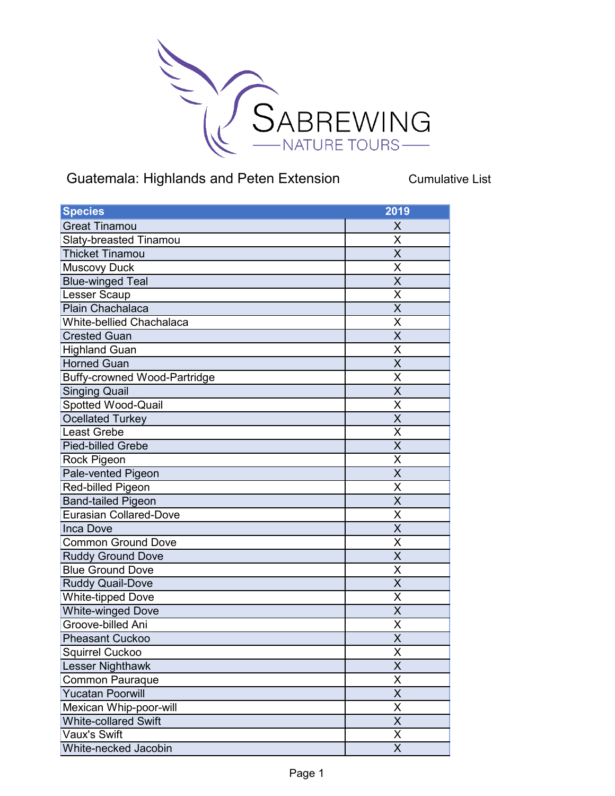

## Guatemala: Highlands and Peten Extension Cumulative List

| <b>Species</b>                      | 2019                    |
|-------------------------------------|-------------------------|
| <b>Great Tinamou</b>                | Χ                       |
| Slaty-breasted Tinamou              | X                       |
| <b>Thicket Tinamou</b>              | $\overline{\mathsf{X}}$ |
| <b>Muscovy Duck</b>                 | Χ                       |
| <b>Blue-winged Teal</b>             | $\overline{\sf x}$      |
| Lesser Scaup                        | X                       |
| Plain Chachalaca                    | X                       |
| <b>White-bellied Chachalaca</b>     | X                       |
| <b>Crested Guan</b>                 | X                       |
| <b>Highland Guan</b>                | X                       |
| Horned Guan                         | $\overline{\mathsf{X}}$ |
| <b>Buffy-crowned Wood-Partridge</b> | X                       |
| <b>Singing Quail</b>                | X                       |
| Spotted Wood-Quail                  | Χ                       |
| <b>Ocellated Turkey</b>             | $\overline{\mathsf{X}}$ |
| <b>Least Grebe</b>                  | X                       |
| <b>Pied-billed Grebe</b>            | $\overline{\mathsf{x}}$ |
| Rock Pigeon                         | Χ                       |
| Pale-vented Pigeon                  | $\overline{\mathsf{x}}$ |
| Red-billed Pigeon                   | X                       |
| <b>Band-tailed Pigeon</b>           | $\overline{\mathsf{X}}$ |
| <b>Eurasian Collared-Dove</b>       | Χ                       |
| <b>Inca Dove</b>                    | X                       |
| <b>Common Ground Dove</b>           | X                       |
| <b>Ruddy Ground Dove</b>            | X                       |
| <b>Blue Ground Dove</b>             | Χ                       |
| <b>Ruddy Quail-Dove</b>             | $\overline{\mathsf{X}}$ |
| White-tipped Dove                   | X                       |
| White-winged Dove                   | $\overline{\mathsf{X}}$ |
| Groove-billed Ani                   | X                       |
| <b>Pheasant Cuckoo</b>              | X                       |
| Squirrel Cuckoo                     | $\overline{\mathsf{X}}$ |
| Lesser Nighthawk                    | $\overline{\mathsf{x}}$ |
| <b>Common Pauraque</b>              | X                       |
| <b>Yucatan Poorwill</b>             | $\overline{\mathsf{X}}$ |
| Mexican Whip-poor-will              | Χ                       |
| <b>White-collared Swift</b>         | $\overline{\mathsf{x}}$ |
| Vaux's Swift                        | X                       |
| White-necked Jacobin                | $\overline{\mathsf{X}}$ |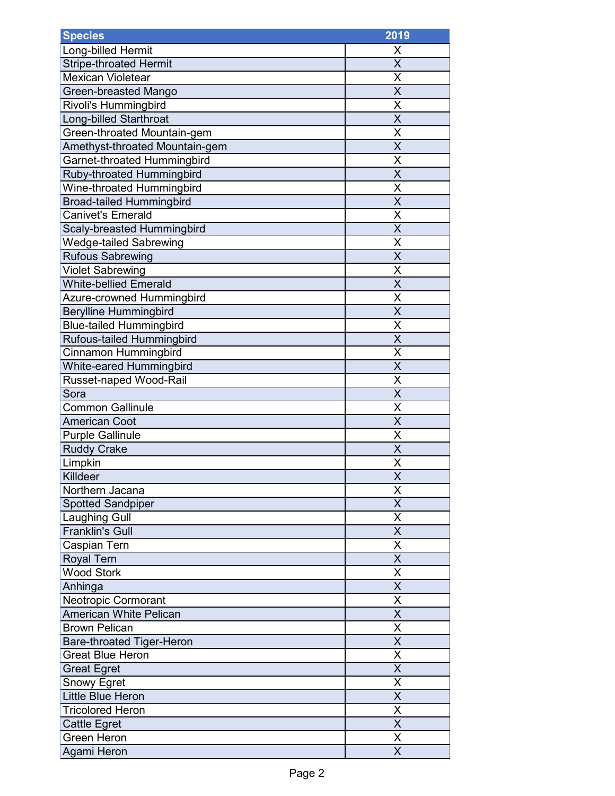| <b>Species</b>                   | 2019                    |
|----------------------------------|-------------------------|
| Long-billed Hermit               | X                       |
| <b>Stripe-throated Hermit</b>    | $\overline{\mathsf{x}}$ |
| <b>Mexican Violetear</b>         | Χ                       |
| Green-breasted Mango             | $\overline{\mathsf{x}}$ |
| Rivoli's Hummingbird             | X                       |
| <b>Long-billed Starthroat</b>    | $\overline{\mathsf{x}}$ |
| Green-throated Mountain-gem      | X                       |
| Amethyst-throated Mountain-gem   | X                       |
| Garnet-throated Hummingbird      | X                       |
| Ruby-throated Hummingbird        | $\overline{\mathsf{x}}$ |
| Wine-throated Hummingbird        | X                       |
| <b>Broad-tailed Hummingbird</b>  | X                       |
| <b>Canivet's Emerald</b>         | X                       |
| Scaly-breasted Hummingbird       | $\overline{\mathsf{X}}$ |
| <b>Wedge-tailed Sabrewing</b>    | X                       |
| <b>Rufous Sabrewing</b>          | $\overline{\mathsf{x}}$ |
| <b>Violet Sabrewing</b>          | X                       |
| <b>White-bellied Emerald</b>     | $\overline{\mathsf{x}}$ |
| Azure-crowned Hummingbird        | Χ                       |
| <b>Berylline Hummingbird</b>     | X                       |
| <b>Blue-tailed Hummingbird</b>   | X                       |
| Rufous-tailed Hummingbird        | $\overline{\mathsf{x}}$ |
| Cinnamon Hummingbird             | X                       |
| White-eared Hummingbird          | X                       |
| Russet-naped Wood-Rail           | X                       |
| Sora                             | $\overline{\mathsf{x}}$ |
| <b>Common Gallinule</b>          | Χ                       |
| <b>American Coot</b>             | X                       |
| <b>Purple Gallinule</b>          | X                       |
| <b>Ruddy Crake</b>               | $\overline{\mathsf{X}}$ |
| Limpkin                          | X                       |
| Killdeer                         | $\overline{\mathsf{x}}$ |
| Northern Jacana                  | X                       |
| <b>Spotted Sandpiper</b>         | $\overline{\mathsf{x}}$ |
| <b>Laughing Gull</b>             | X                       |
| <b>Franklin's Gull</b>           | X                       |
| Caspian Tern                     | Χ                       |
| <b>Royal Tern</b>                | X                       |
| <b>Wood Stork</b>                | $\overline{\mathsf{x}}$ |
| Anhinga                          | X                       |
| <b>Neotropic Cormorant</b>       | $\overline{\mathsf{x}}$ |
| <b>American White Pelican</b>    | X                       |
| <b>Brown Pelican</b>             | X                       |
| <b>Bare-throated Tiger-Heron</b> | X                       |
| <b>Great Blue Heron</b>          | X                       |
| <b>Great Egret</b>               | $\overline{\mathsf{X}}$ |
| <b>Snowy Egret</b>               | $\overline{\sf x}$      |
| Little Blue Heron                | $\overline{\mathsf{X}}$ |
| <b>Tricolored Heron</b>          | X                       |
| <b>Cattle Egret</b>              | $\overline{\mathsf{x}}$ |
| <b>Green Heron</b>               | Χ                       |
| Agami Heron                      | X                       |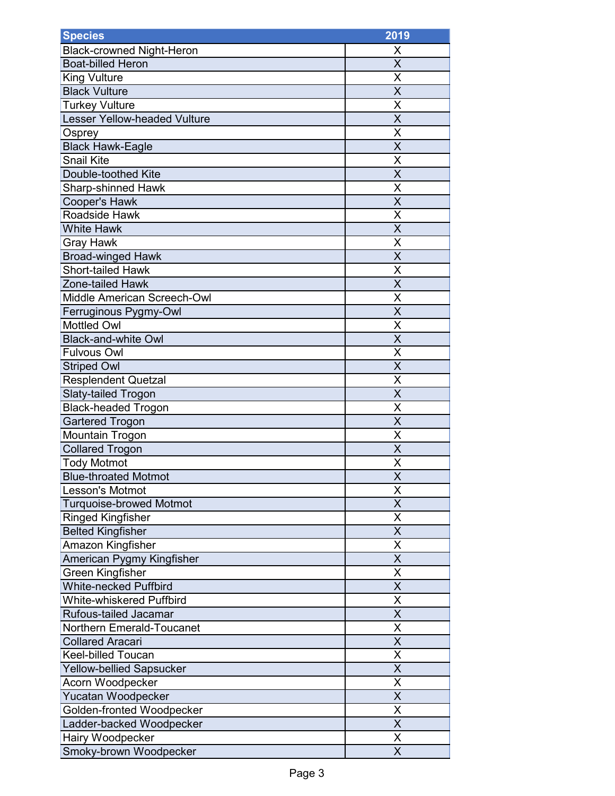| <b>Species</b>                      | 2019                         |
|-------------------------------------|------------------------------|
| <b>Black-crowned Night-Heron</b>    | X                            |
| <b>Boat-billed Heron</b>            | $\overline{\mathsf{x}}$      |
| <b>King Vulture</b>                 | Χ                            |
| <b>Black Vulture</b>                | $\overline{\mathsf{x}}$      |
| <b>Turkey Vulture</b>               | Χ                            |
| <b>Lesser Yellow-headed Vulture</b> | X                            |
| <b>Osprey</b>                       | X                            |
| <b>Black Hawk-Eagle</b>             | $\overline{\mathsf{x}}$      |
| <b>Snail Kite</b>                   | X                            |
| Double-toothed Kite                 | X                            |
| <b>Sharp-shinned Hawk</b>           | X                            |
| <b>Cooper's Hawk</b>                | X                            |
| Roadside Hawk                       | Χ                            |
| <b>White Hawk</b>                   | X                            |
| Gray Hawk                           | Χ                            |
| <b>Broad-winged Hawk</b>            | $\overline{\mathsf{x}}$      |
| <b>Short-tailed Hawk</b>            | X                            |
| Zone-tailed Hawk                    | $\overline{\mathsf{x}}$      |
| Middle American Screech-Owl         | Χ                            |
| Ferruginous Pygmy-Owl               | $\overline{\mathsf{x}}$      |
| <b>Mottled Owl</b>                  | Χ                            |
| <b>Black-and-white Owl</b>          | $\overline{\mathsf{X}}$      |
| <b>Fulvous Owl</b>                  | X                            |
| <b>Striped Owl</b>                  | $\overline{\mathsf{X}}$      |
| <b>Resplendent Quetzal</b>          | X                            |
| Slaty-tailed Trogon                 | X                            |
| <b>Black-headed Trogon</b>          | X                            |
| <b>Gartered Trogon</b>              | $\overline{\mathsf{X}}$      |
| Mountain Trogon                     | X                            |
| <b>Collared Trogon</b>              | X                            |
| <b>Tody Motmot</b>                  | X                            |
| <b>Blue-throated Motmot</b>         | $\overline{\mathsf{X}}$      |
| <b>Lesson's Motmot</b>              | Χ                            |
| <b>Turquoise-browed Motmot</b>      | $\overline{\mathsf{x}}$      |
| <b>Ringed Kingfisher</b>            | X                            |
| <b>Belted Kingfisher</b>            | $\overline{\mathsf{x}}$      |
| Amazon Kingfisher                   | Χ                            |
| American Pygmy Kingfisher           | X                            |
| <b>Green Kingfisher</b>             | X                            |
| <b>White-necked Puffbird</b>        | X                            |
| White-whiskered Puffbird            | $\overline{\mathsf{x}}$      |
| Rufous-tailed Jacamar               | X                            |
| <b>Northern Emerald-Toucanet</b>    | X                            |
| <b>Collared Aracari</b>             | X                            |
| <b>Keel-billed Toucan</b>           | X                            |
| <b>Yellow-bellied Sapsucker</b>     | X                            |
| Acorn Woodpecker                    | Χ                            |
| Yucatan Woodpecker                  | X<br>$\overline{\mathsf{x}}$ |
| Golden-fronted Woodpecker           | $\overline{\mathsf{X}}$      |
| Ladder-backed Woodpecker            |                              |
| Hairy Woodpecker                    | Χ<br>$\overline{\mathsf{x}}$ |
| Smoky-brown Woodpecker              |                              |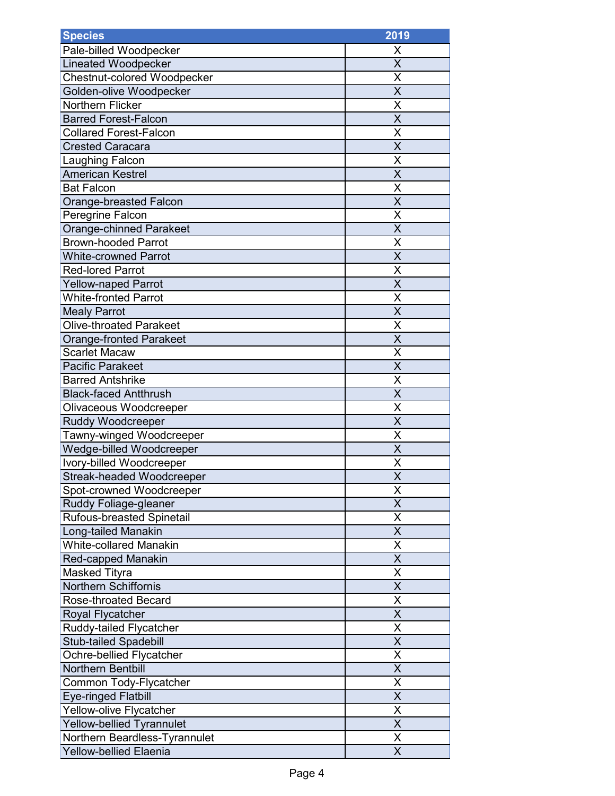| <b>Species</b>                     | 2019                    |
|------------------------------------|-------------------------|
| Pale-billed Woodpecker             | Х                       |
| <b>Lineated Woodpecker</b>         | $\overline{\mathsf{x}}$ |
| <b>Chestnut-colored Woodpecker</b> | Χ                       |
| Golden-olive Woodpecker            | X                       |
| <b>Northern Flicker</b>            | X                       |
| <b>Barred Forest-Falcon</b>        | X                       |
| <b>Collared Forest-Falcon</b>      | X                       |
| <b>Crested Caracara</b>            | X                       |
| Laughing Falcon                    | X                       |
| <b>American Kestrel</b>            | X                       |
| <b>Bat Falcon</b>                  | Χ                       |
| Orange-breasted Falcon             | X                       |
| Peregrine Falcon                   | X                       |
| <b>Orange-chinned Parakeet</b>     | $\overline{\mathsf{X}}$ |
| <b>Brown-hooded Parrot</b>         | Χ                       |
| <b>White-crowned Parrot</b>        | $\overline{\mathsf{x}}$ |
| <b>Red-lored Parrot</b>            | X                       |
| <b>Yellow-naped Parrot</b>         | $\overline{\mathsf{x}}$ |
| <b>White-fronted Parrot</b>        | Χ                       |
| <b>Mealy Parrot</b>                | X                       |
| <b>Olive-throated Parakeet</b>     | X                       |
| Orange-fronted Parakeet            | $\overline{\mathsf{x}}$ |
| <b>Scarlet Macaw</b>               | X                       |
| <b>Pacific Parakeet</b>            | X                       |
| <b>Barred Antshrike</b>            | X                       |
| <b>Black-faced Antthrush</b>       | X                       |
| Olivaceous Woodcreeper             | Χ                       |
| <b>Ruddy Woodcreeper</b>           | X                       |
| Tawny-winged Woodcreeper           | Χ                       |
| Wedge-billed Woodcreeper           | $\overline{\mathsf{X}}$ |
| Ivory-billed Woodcreeper           | X                       |
| Streak-headed Woodcreeper          | $\overline{\mathsf{x}}$ |
| Spot-crowned Woodcreeper           | X                       |
| Ruddy Foliage-gleaner              | $\overline{\mathsf{x}}$ |
| Rufous-breasted Spinetail          | X                       |
| Long-tailed Manakin                | $\overline{\mathsf{X}}$ |
| <b>White-collared Manakin</b>      | Χ                       |
| <b>Red-capped Manakin</b>          | X                       |
| Masked Tityra                      | $\overline{\mathsf{X}}$ |
| <b>Northern Schiffornis</b>        | X                       |
| Rose-throated Becard               | $\overline{\mathsf{x}}$ |
| Royal Flycatcher                   | $\overline{\mathsf{X}}$ |
| Ruddy-tailed Flycatcher            | X                       |
| <b>Stub-tailed Spadebill</b>       | X                       |
| Ochre-bellied Flycatcher           | X                       |
| <b>Northern Bentbill</b>           | $\overline{\mathsf{X}}$ |
| Common Tody-Flycatcher             | $\overline{\sf x}$      |
| <b>Eye-ringed Flatbill</b>         | X                       |
| <b>Yellow-olive Flycatcher</b>     | $\overline{\mathsf{x}}$ |
| Yellow-bellied Tyrannulet          | $\overline{\mathsf{x}}$ |
| Northern Beardless-Tyrannulet      | Χ                       |
| <b>Yellow-bellied Elaenia</b>      | X                       |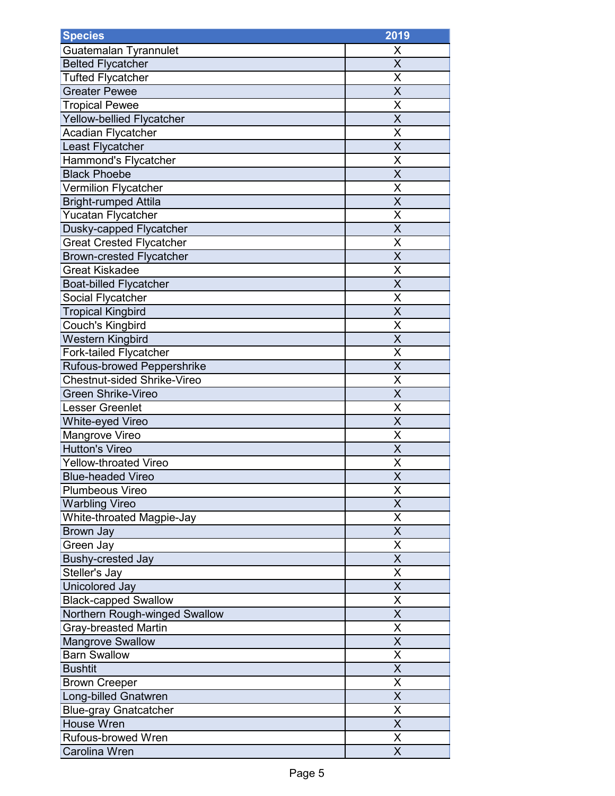| <b>Species</b>                     | 2019                    |
|------------------------------------|-------------------------|
| Guatemalan Tyrannulet              | Χ                       |
| <b>Belted Flycatcher</b>           | X                       |
| <b>Tufted Flycatcher</b>           | X                       |
| Greater Pewee                      | $\overline{\mathsf{x}}$ |
| <b>Tropical Pewee</b>              | Χ                       |
| Yellow-bellied Flycatcher          | X                       |
| Acadian Flycatcher                 | X                       |
| Least Flycatcher                   | X                       |
| Hammond's Flycatcher               | X                       |
| <b>Black Phoebe</b>                | X                       |
| Vermilion Flycatcher               | X                       |
| <b>Bright-rumped Attila</b>        | X                       |
| <b>Yucatan Flycatcher</b>          | Χ                       |
| Dusky-capped Flycatcher            | X                       |
| <b>Great Crested Flycatcher</b>    | Χ                       |
| <b>Brown-crested Flycatcher</b>    | $\overline{\mathsf{X}}$ |
| <b>Great Kiskadee</b>              | X                       |
| <b>Boat-billed Flycatcher</b>      | $\overline{\mathsf{x}}$ |
| Social Flycatcher                  | Χ                       |
| <b>Tropical Kingbird</b>           | $\overline{\mathsf{x}}$ |
| Couch's Kingbird                   | X                       |
| <b>Western Kingbird</b>            | X                       |
| Fork-tailed Flycatcher             | Χ                       |
| Rufous-browed Peppershrike         | X                       |
| <b>Chestnut-sided Shrike-Vireo</b> | X                       |
| <b>Green Shrike-Vireo</b>          | X                       |
| Lesser Greenlet                    | Χ                       |
| White-eyed Vireo                   | $\overline{\mathsf{x}}$ |
| Mangrove Vireo                     | Χ                       |
| <b>Hutton's Vireo</b>              | X                       |
| <b>Yellow-throated Vireo</b>       | X                       |
| <b>Blue-headed Vireo</b>           | $\overline{\mathsf{X}}$ |
| <b>Plumbeous Vireo</b>             | X                       |
| <b>Warbling Vireo</b>              | X                       |
| White-throated Magpie-Jay          | X                       |
| Brown Jay                          | $\overline{\mathsf{x}}$ |
| Green Jay                          | Χ                       |
| <b>Bushy-crested Jay</b>           | X                       |
| Steller's Jay                      | X                       |
| Unicolored Jay                     | X                       |
| <b>Black-capped Swallow</b>        | $\overline{\mathsf{x}}$ |
| Northern Rough-winged Swallow      | X                       |
| <b>Gray-breasted Martin</b>        | X                       |
| <b>Mangrove Swallow</b>            | X                       |
| <b>Barn Swallow</b>                | Χ                       |
| <b>Bushtit</b>                     | X                       |
| <b>Brown Creeper</b>               | X                       |
| Long-billed Gnatwren               | X                       |
| <b>Blue-gray Gnatcatcher</b>       | $\overline{\sf x}$      |
| <b>House Wren</b>                  | $\overline{\mathsf{x}}$ |
| Rufous-browed Wren                 | Χ                       |
| Carolina Wren                      | $\overline{\mathsf{x}}$ |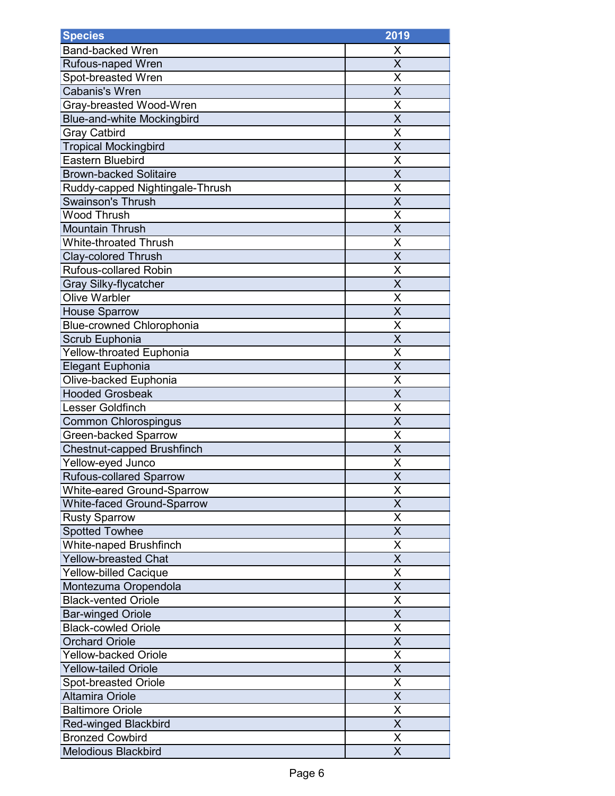| <b>Species</b>                    | 2019                    |
|-----------------------------------|-------------------------|
| <b>Band-backed Wren</b>           | Х                       |
| <b>Rufous-naped Wren</b>          | $\overline{\sf x}$      |
| Spot-breasted Wren                | Χ                       |
| <b>Cabanis's Wren</b>             | X                       |
| Gray-breasted Wood-Wren           | X                       |
| <b>Blue-and-white Mockingbird</b> | $\overline{\mathsf{x}}$ |
| Gray Catbird                      | X                       |
| <b>Tropical Mockingbird</b>       | X                       |
| <b>Eastern Bluebird</b>           | X                       |
| <b>Brown-backed Solitaire</b>     | $\overline{\mathsf{X}}$ |
| Ruddy-capped Nightingale-Thrush   | X                       |
| <b>Swainson's Thrush</b>          | X                       |
| <b>Wood Thrush</b>                | X                       |
| <b>Mountain Thrush</b>            | $\overline{\mathsf{X}}$ |
| <b>White-throated Thrush</b>      | X                       |
| <b>Clay-colored Thrush</b>        | $\overline{\mathsf{x}}$ |
| <b>Rufous-collared Robin</b>      | X                       |
| <b>Gray Silky-flycatcher</b>      | $\overline{\sf x}$      |
| <b>Olive Warbler</b>              | Χ                       |
| <b>House Sparrow</b>              | X                       |
| <b>Blue-crowned Chlorophonia</b>  | X                       |
| Scrub Euphonia                    | $\overline{\mathsf{x}}$ |
| <b>Yellow-throated Euphonia</b>   | X                       |
| Elegant Euphonia                  | X                       |
| Olive-backed Euphonia             | X                       |
| <b>Hooded Grosbeak</b>            | X                       |
| Lesser Goldfinch                  | Χ                       |
| <b>Common Chlorospingus</b>       | X                       |
| <b>Green-backed Sparrow</b>       | Χ                       |
| Chestnut-capped Brushfinch        | $\overline{\mathsf{X}}$ |
| Yellow-eyed Junco                 | X                       |
| <b>Rufous-collared Sparrow</b>    | $\overline{\mathsf{x}}$ |
| <b>White-eared Ground-Sparrow</b> | Χ                       |
| <b>White-faced Ground-Sparrow</b> | $\overline{\mathsf{x}}$ |
| <b>Rusty Sparrow</b>              | X                       |
| <b>Spotted Towhee</b>             | X                       |
| White-naped Brushfinch            | Χ                       |
| <b>Yellow-breasted Chat</b>       | X                       |
| <b>Yellow-billed Cacique</b>      | $\overline{\mathsf{X}}$ |
| Montezuma Oropendola              | X                       |
| <b>Black-vented Oriole</b>        | X                       |
| <b>Bar-winged Oriole</b>          | X                       |
| <b>Black-cowled Oriole</b>        | X                       |
| <b>Orchard Oriole</b>             | X                       |
| <b>Yellow-backed Oriole</b>       | X                       |
| <b>Yellow-tailed Oriole</b>       | $\overline{\mathsf{X}}$ |
| <b>Spot-breasted Oriole</b>       | $\overline{\sf x}$      |
| <b>Altamira Oriole</b>            | X                       |
| <b>Baltimore Oriole</b>           | $\overline{\mathsf{x}}$ |
| <b>Red-winged Blackbird</b>       | $\overline{\sf x}$      |
| <b>Bronzed Cowbird</b>            | Χ                       |
| <b>Melodious Blackbird</b>        | X                       |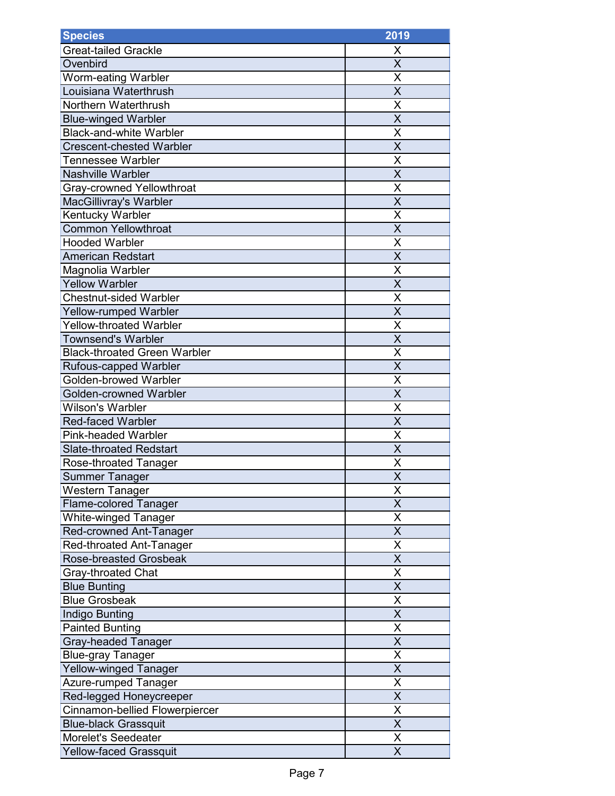| <b>Species</b>                      | 2019                    |
|-------------------------------------|-------------------------|
| <b>Great-tailed Grackle</b>         | X                       |
| Ovenbird                            | $\overline{\mathsf{x}}$ |
| Worm-eating Warbler                 | X                       |
| Louisiana Waterthrush               | $\overline{\mathsf{x}}$ |
| Northern Waterthrush                | Χ                       |
| <b>Blue-winged Warbler</b>          | X                       |
| <b>Black-and-white Warbler</b>      | X                       |
| <b>Crescent-chested Warbler</b>     | $\overline{\mathsf{x}}$ |
| Tennessee Warbler                   | X                       |
| <b>Nashville Warbler</b>            | X                       |
| Gray-crowned Yellowthroat           | X                       |
| MacGillivray's Warbler              | X                       |
| Kentucky Warbler                    | X                       |
| <b>Common Yellowthroat</b>          | X                       |
| <b>Hooded Warbler</b>               | Χ                       |
| American Redstart                   | $\overline{\mathsf{x}}$ |
| Magnolia Warbler                    | X                       |
| <b>Yellow Warbler</b>               | $\overline{\mathsf{x}}$ |
| <b>Chestnut-sided Warbler</b>       | Χ                       |
| <b>Yellow-rumped Warbler</b>        | $\overline{\mathsf{x}}$ |
| <b>Yellow-throated Warbler</b>      | Χ                       |
| <b>Townsend's Warbler</b>           | $\overline{\mathsf{X}}$ |
| <b>Black-throated Green Warbler</b> | X                       |
| <b>Rufous-capped Warbler</b>        | $\overline{\mathsf{X}}$ |
| Golden-browed Warbler               | X                       |
| Golden-crowned Warbler              | X                       |
| <b>Wilson's Warbler</b>             | Χ                       |
| <b>Red-faced Warbler</b>            | $\overline{\mathsf{X}}$ |
| <b>Pink-headed Warbler</b>          | X                       |
| <b>Slate-throated Redstart</b>      | X                       |
| Rose-throated Tanager               | X                       |
| <b>Summer Tanager</b>               | $\overline{\mathsf{X}}$ |
| Western Tanager                     | X                       |
| <b>Flame-colored Tanager</b>        | $\overline{\mathsf{x}}$ |
| <b>White-winged Tanager</b>         | X                       |
| Red-crowned Ant-Tanager             | $\overline{\mathsf{x}}$ |
| Red-throated Ant-Tanager            | Χ                       |
| <b>Rose-breasted Grosbeak</b>       | X                       |
| Gray-throated Chat                  | X                       |
| <b>Blue Bunting</b>                 | X                       |
| <b>Blue Grosbeak</b>                | $\overline{\mathsf{x}}$ |
| Indigo Bunting                      | X                       |
| <b>Painted Bunting</b>              | X                       |
| <b>Gray-headed Tanager</b>          | X                       |
| <b>Blue-gray Tanager</b>            | X                       |
| Yellow-winged Tanager               | X                       |
| Azure-rumped Tanager                | X                       |
| Red-legged Honeycreeper             | X                       |
| Cinnamon-bellied Flowerpiercer      | $\overline{\mathsf{x}}$ |
| <b>Blue-black Grassquit</b>         | $\overline{\mathsf{x}}$ |
| <b>Morelet's Seedeater</b>          | Χ                       |
| <b>Yellow-faced Grassquit</b>       | $\overline{\sf x}$      |